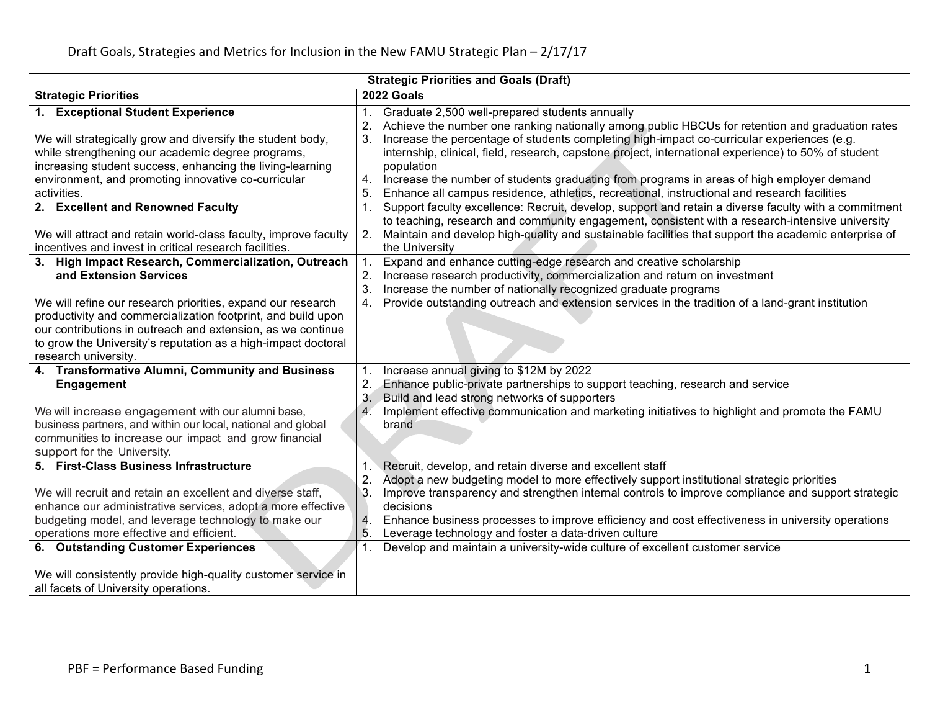| <b>Strategic Priorities and Goals (Draft)</b>                                                                                                                                                                                                                                                                                                                                                                           |                                                                                                                                                                                                                                                                                                                                                                                                                                                                                                                                                                                                  |  |  |
|-------------------------------------------------------------------------------------------------------------------------------------------------------------------------------------------------------------------------------------------------------------------------------------------------------------------------------------------------------------------------------------------------------------------------|--------------------------------------------------------------------------------------------------------------------------------------------------------------------------------------------------------------------------------------------------------------------------------------------------------------------------------------------------------------------------------------------------------------------------------------------------------------------------------------------------------------------------------------------------------------------------------------------------|--|--|
| <b>Strategic Priorities</b>                                                                                                                                                                                                                                                                                                                                                                                             | 2022 Goals                                                                                                                                                                                                                                                                                                                                                                                                                                                                                                                                                                                       |  |  |
| 1. Exceptional Student Experience<br>We will strategically grow and diversify the student body,<br>while strengthening our academic degree programs,<br>increasing student success, enhancing the living-learning<br>environment, and promoting innovative co-curricular<br>activities.                                                                                                                                 | Graduate 2,500 well-prepared students annually<br>1.<br>Achieve the number one ranking nationally among public HBCUs for retention and graduation rates<br>2.<br>Increase the percentage of students completing high-impact co-curricular experiences (e.g.<br>3.<br>internship, clinical, field, research, capstone project, international experience) to 50% of student<br>population<br>Increase the number of students graduating from programs in areas of high employer demand<br>4.<br>5.<br>Enhance all campus residence, athletics, recreational, instructional and research facilities |  |  |
| 2. Excellent and Renowned Faculty<br>We will attract and retain world-class faculty, improve faculty<br>incentives and invest in critical research facilities.                                                                                                                                                                                                                                                          | Support faculty excellence: Recruit, develop, support and retain a diverse faculty with a commitment<br>1.<br>to teaching, research and community engagement, consistent with a research-intensive university<br>Maintain and develop high-quality and sustainable facilities that support the academic enterprise of<br>2.<br>the University                                                                                                                                                                                                                                                    |  |  |
| 3. High Impact Research, Commercialization, Outreach<br>and Extension Services<br>We will refine our research priorities, expand our research<br>productivity and commercialization footprint, and build upon<br>our contributions in outreach and extension, as we continue<br>to grow the University's reputation as a high-impact doctoral<br>research university.                                                   | Expand and enhance cutting-edge research and creative scholarship<br>1.<br>Increase research productivity, commercialization and return on investment<br>2.<br>Increase the number of nationally recognized graduate programs<br>3.<br>Provide outstanding outreach and extension services in the tradition of a land-grant institution<br>4.                                                                                                                                                                                                                                                    |  |  |
| 4. Transformative Alumni, Community and Business<br><b>Engagement</b><br>We will increase engagement with our alumni base,<br>business partners, and within our local, national and global<br>communities to increase our impact and grow financial<br>support for the University.                                                                                                                                      | Increase annual giving to \$12M by 2022<br>Enhance public-private partnerships to support teaching, research and service<br>2.<br>3.<br>Build and lead strong networks of supporters<br>Implement effective communication and marketing initiatives to highlight and promote the FAMU<br>4<br>brand                                                                                                                                                                                                                                                                                              |  |  |
| 5. First-Class Business Infrastructure<br>We will recruit and retain an excellent and diverse staff,<br>enhance our administrative services, adopt a more effective<br>budgeting model, and leverage technology to make our<br>operations more effective and efficient.<br>6. Outstanding Customer Experiences<br>We will consistently provide high-quality customer service in<br>all facets of University operations. | Recruit, develop, and retain diverse and excellent staff<br>1.<br>$\overline{2}$<br>Adopt a new budgeting model to more effectively support institutional strategic priorities<br>3.<br>Improve transparency and strengthen internal controls to improve compliance and support strategic<br>decisions<br>Enhance business processes to improve efficiency and cost effectiveness in university operations<br>4.<br>5.<br>Leverage technology and foster a data-driven culture<br>Develop and maintain a university-wide culture of excellent customer service                                   |  |  |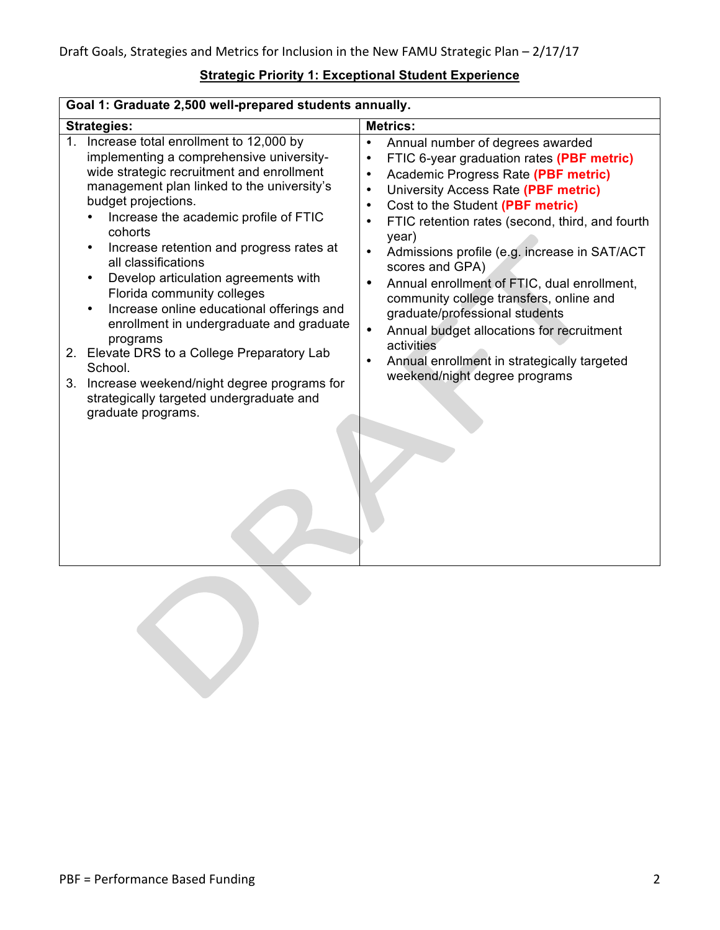| Goal 1: Graduate 2,500 well-prepared students annually.                                                                                                                                                                                                                                                                                                                                                                                                                                                                                                                                                                                                                                             |                                                                                                                                                                                                                                                                                                                                                                                                                                                                                                                                                                                                                                                                                                                                         |  |  |
|-----------------------------------------------------------------------------------------------------------------------------------------------------------------------------------------------------------------------------------------------------------------------------------------------------------------------------------------------------------------------------------------------------------------------------------------------------------------------------------------------------------------------------------------------------------------------------------------------------------------------------------------------------------------------------------------------------|-----------------------------------------------------------------------------------------------------------------------------------------------------------------------------------------------------------------------------------------------------------------------------------------------------------------------------------------------------------------------------------------------------------------------------------------------------------------------------------------------------------------------------------------------------------------------------------------------------------------------------------------------------------------------------------------------------------------------------------------|--|--|
| <b>Strategies:</b>                                                                                                                                                                                                                                                                                                                                                                                                                                                                                                                                                                                                                                                                                  | <b>Metrics:</b>                                                                                                                                                                                                                                                                                                                                                                                                                                                                                                                                                                                                                                                                                                                         |  |  |
| 1. Increase total enrollment to 12,000 by<br>implementing a comprehensive university-<br>wide strategic recruitment and enrollment<br>management plan linked to the university's<br>budget projections.<br>Increase the academic profile of FTIC<br>cohorts<br>Increase retention and progress rates at<br>all classifications<br>Develop articulation agreements with<br>Florida community colleges<br>Increase online educational offerings and<br>$\bullet$<br>enrollment in undergraduate and graduate<br>programs<br>2. Elevate DRS to a College Preparatory Lab<br>School.<br>3. Increase weekend/night degree programs for<br>strategically targeted undergraduate and<br>graduate programs. | Annual number of degrees awarded<br>$\bullet$<br>FTIC 6-year graduation rates (PBF metric)<br>$\bullet$<br>Academic Progress Rate (PBF metric)<br>$\bullet$<br>University Access Rate (PBF metric)<br>$\bullet$<br>Cost to the Student (PBF metric)<br>$\bullet$<br>FTIC retention rates (second, third, and fourth<br>$\bullet$<br>year)<br>Admissions profile (e.g. increase in SAT/ACT<br>$\bullet$<br>scores and GPA)<br>Annual enrollment of FTIC, dual enrollment,<br>$\bullet$<br>community college transfers, online and<br>graduate/professional students<br>Annual budget allocations for recruitment<br>$\bullet$<br>activities<br>Annual enrollment in strategically targeted<br>$\bullet$<br>weekend/night degree programs |  |  |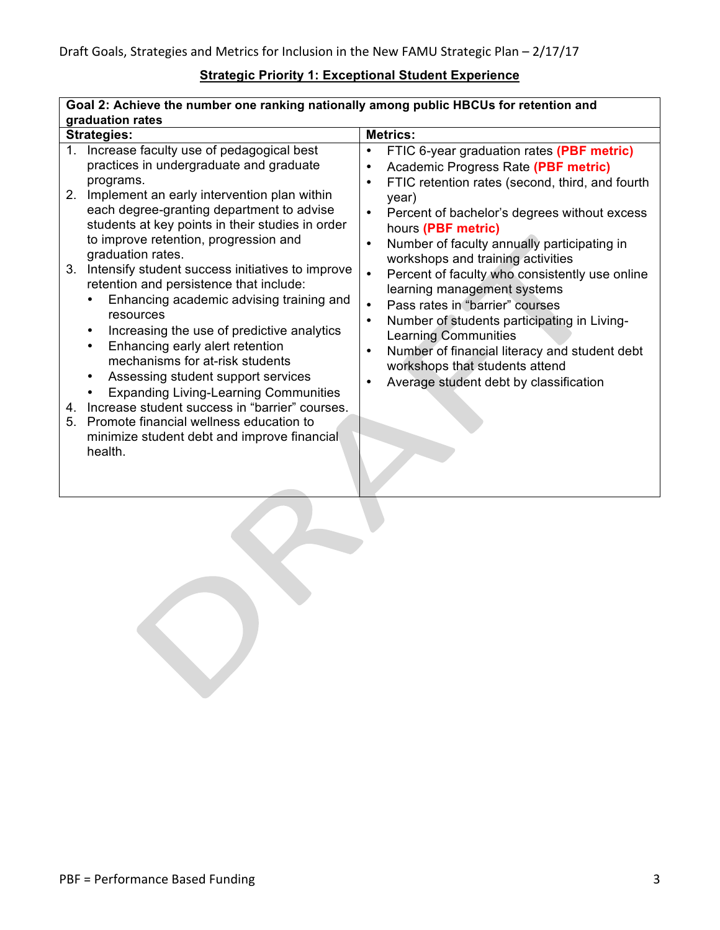| Goal 2: Acnieve the number one ranking nationally among public HBCUS for retention and                                                                                                                                                                                                                                                                                               |  |  |  |
|--------------------------------------------------------------------------------------------------------------------------------------------------------------------------------------------------------------------------------------------------------------------------------------------------------------------------------------------------------------------------------------|--|--|--|
| graduation rates                                                                                                                                                                                                                                                                                                                                                                     |  |  |  |
| <b>Metrics:</b>                                                                                                                                                                                                                                                                                                                                                                      |  |  |  |
| FTIC 6-year graduation rates (PBF metric)<br>٠<br>Academic Progress Rate (PBF metric)<br>$\bullet$<br>FTIC retention rates (second, third, and fourth<br>٠                                                                                                                                                                                                                           |  |  |  |
| year)<br>Percent of bachelor's degrees without excess<br>$\bullet$<br>hours (PBF metric)<br>Number of faculty annually participating in<br>$\bullet$<br>workshops and training activities                                                                                                                                                                                            |  |  |  |
| Percent of faculty who consistently use online<br>$\bullet$<br>learning management systems<br>Pass rates in "barrier" courses<br>$\bullet$<br>Number of students participating in Living-<br>$\bullet$<br><b>Learning Communities</b><br>Number of financial literacy and student debt<br>$\bullet$<br>workshops that students attend<br>Average student debt by classification<br>٠ |  |  |  |
|                                                                                                                                                                                                                                                                                                                                                                                      |  |  |  |

٦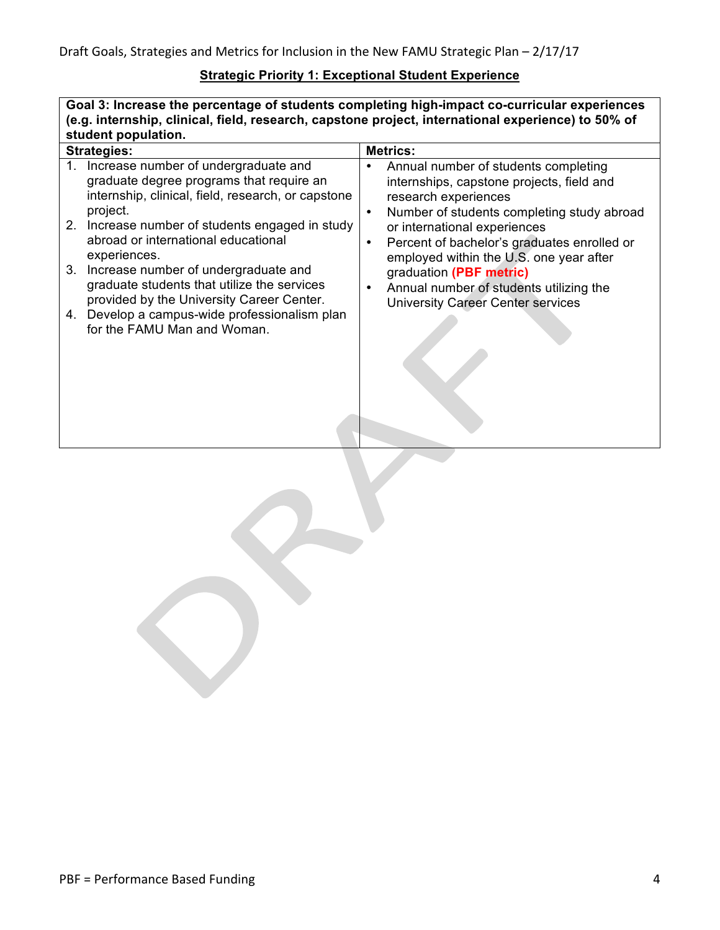**Goal 3: Increase the percentage of students completing high-impact co-curricular experiences (e.g. internship, clinical, field, research, capstone project, international experience) to 50% of student population.**

|    | <b>Strategies:</b>                                                                                                                                 |                        | <b>Metrics:</b>                                                                                                                                                      |
|----|----------------------------------------------------------------------------------------------------------------------------------------------------|------------------------|----------------------------------------------------------------------------------------------------------------------------------------------------------------------|
| 1. | Increase number of undergraduate and<br>graduate degree programs that require an<br>internship, clinical, field, research, or capstone<br>project. | $\bullet$              | Annual number of students completing<br>internships, capstone projects, field and<br>research experiences                                                            |
|    | 2. Increase number of students engaged in study<br>abroad or international educational<br>experiences.                                             | $\bullet$<br>$\bullet$ | Number of students completing study abroad<br>or international experiences<br>Percent of bachelor's graduates enrolled or<br>employed within the U.S. one year after |
|    | 3. Increase number of undergraduate and<br>graduate students that utilize the services<br>provided by the University Career Center.                | $\bullet$              | graduation (PBF metric)<br>Annual number of students utilizing the<br><b>University Career Center services</b>                                                       |
|    | 4. Develop a campus-wide professionalism plan<br>for the FAMU Man and Woman.                                                                       |                        |                                                                                                                                                                      |
|    |                                                                                                                                                    |                        |                                                                                                                                                                      |
|    |                                                                                                                                                    |                        |                                                                                                                                                                      |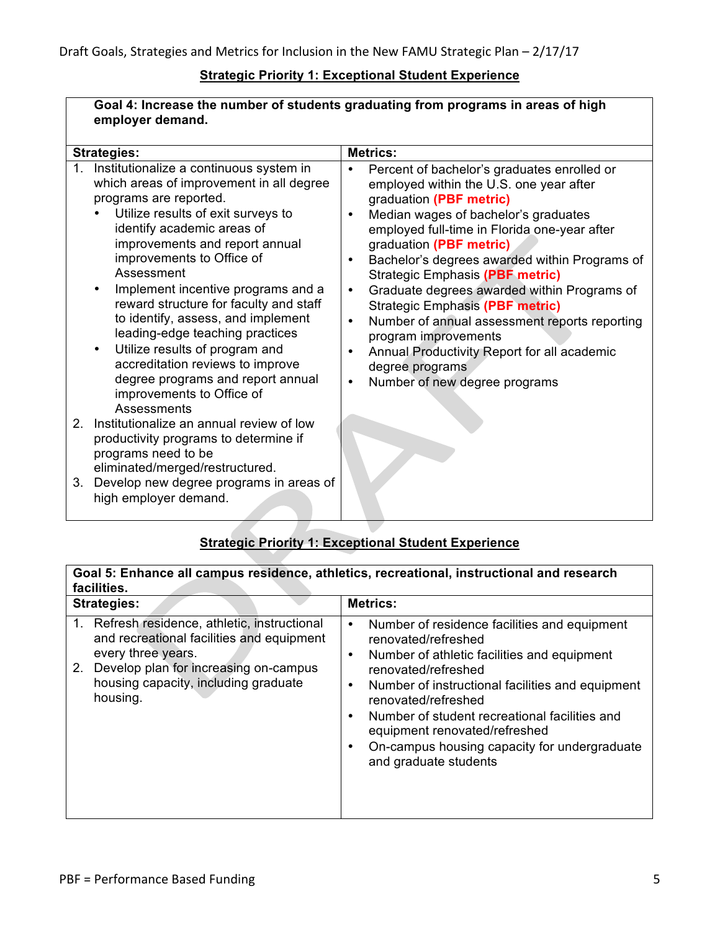|         | Goal 4: Increase the number of students graduating from programs in areas of high                                                                                                                                                                                                                                                                                                                                                                                                                                                                                                                           |                                                                                                                                                                                                                                                                                                                                                                                                                                                                                                                                                                                                                                                                                                 |  |
|---------|-------------------------------------------------------------------------------------------------------------------------------------------------------------------------------------------------------------------------------------------------------------------------------------------------------------------------------------------------------------------------------------------------------------------------------------------------------------------------------------------------------------------------------------------------------------------------------------------------------------|-------------------------------------------------------------------------------------------------------------------------------------------------------------------------------------------------------------------------------------------------------------------------------------------------------------------------------------------------------------------------------------------------------------------------------------------------------------------------------------------------------------------------------------------------------------------------------------------------------------------------------------------------------------------------------------------------|--|
|         | employer demand.                                                                                                                                                                                                                                                                                                                                                                                                                                                                                                                                                                                            |                                                                                                                                                                                                                                                                                                                                                                                                                                                                                                                                                                                                                                                                                                 |  |
|         | <b>Strategies:</b>                                                                                                                                                                                                                                                                                                                                                                                                                                                                                                                                                                                          | <b>Metrics:</b>                                                                                                                                                                                                                                                                                                                                                                                                                                                                                                                                                                                                                                                                                 |  |
|         | 1. Institutionalize a continuous system in<br>which areas of improvement in all degree<br>programs are reported.<br>Utilize results of exit surveys to<br>identify academic areas of<br>improvements and report annual<br>improvements to Office of<br>Assessment<br>Implement incentive programs and a<br>$\bullet$<br>reward structure for faculty and staff<br>to identify, assess, and implement<br>leading-edge teaching practices<br>Utilize results of program and<br>$\bullet$<br>accreditation reviews to improve<br>degree programs and report annual<br>improvements to Office of<br>Assessments | Percent of bachelor's graduates enrolled or<br>$\bullet$<br>employed within the U.S. one year after<br>graduation (PBF metric)<br>Median wages of bachelor's graduates<br>$\bullet$<br>employed full-time in Florida one-year after<br>graduation (PBF metric)<br>Bachelor's degrees awarded within Programs of<br>$\bullet$<br><b>Strategic Emphasis (PBF metric)</b><br>Graduate degrees awarded within Programs of<br>$\bullet$<br><b>Strategic Emphasis (PBF metric)</b><br>Number of annual assessment reports reporting<br>$\bullet$<br>program improvements<br>Annual Productivity Report for all academic<br>$\bullet$<br>degree programs<br>Number of new degree programs<br>$\bullet$ |  |
| $2_{-}$ | Institutionalize an annual review of low<br>productivity programs to determine if<br>programs need to be<br>eliminated/merged/restructured.                                                                                                                                                                                                                                                                                                                                                                                                                                                                 |                                                                                                                                                                                                                                                                                                                                                                                                                                                                                                                                                                                                                                                                                                 |  |
| 3.      | Develop new degree programs in areas of<br>high employer demand.                                                                                                                                                                                                                                                                                                                                                                                                                                                                                                                                            |                                                                                                                                                                                                                                                                                                                                                                                                                                                                                                                                                                                                                                                                                                 |  |

# **Strategic Priority 1: Exceptional Student Experience**

| Goal 5: Enhance all campus residence, athletics, recreational, instructional and research<br>facilities.                                                                                                         |                                                                                                                                                                                                                                                                                                                                                                                                     |  |
|------------------------------------------------------------------------------------------------------------------------------------------------------------------------------------------------------------------|-----------------------------------------------------------------------------------------------------------------------------------------------------------------------------------------------------------------------------------------------------------------------------------------------------------------------------------------------------------------------------------------------------|--|
| <b>Strategies:</b>                                                                                                                                                                                               | <b>Metrics:</b>                                                                                                                                                                                                                                                                                                                                                                                     |  |
| 1. Refresh residence, athletic, instructional<br>and recreational facilities and equipment<br>every three years.<br>2. Develop plan for increasing on-campus<br>housing capacity, including graduate<br>housing. | Number of residence facilities and equipment<br>٠<br>renovated/refreshed<br>Number of athletic facilities and equipment<br>٠<br>renovated/refreshed<br>Number of instructional facilities and equipment<br>٠<br>renovated/refreshed<br>Number of student recreational facilities and<br>٠<br>equipment renovated/refreshed<br>On-campus housing capacity for undergraduate<br>and graduate students |  |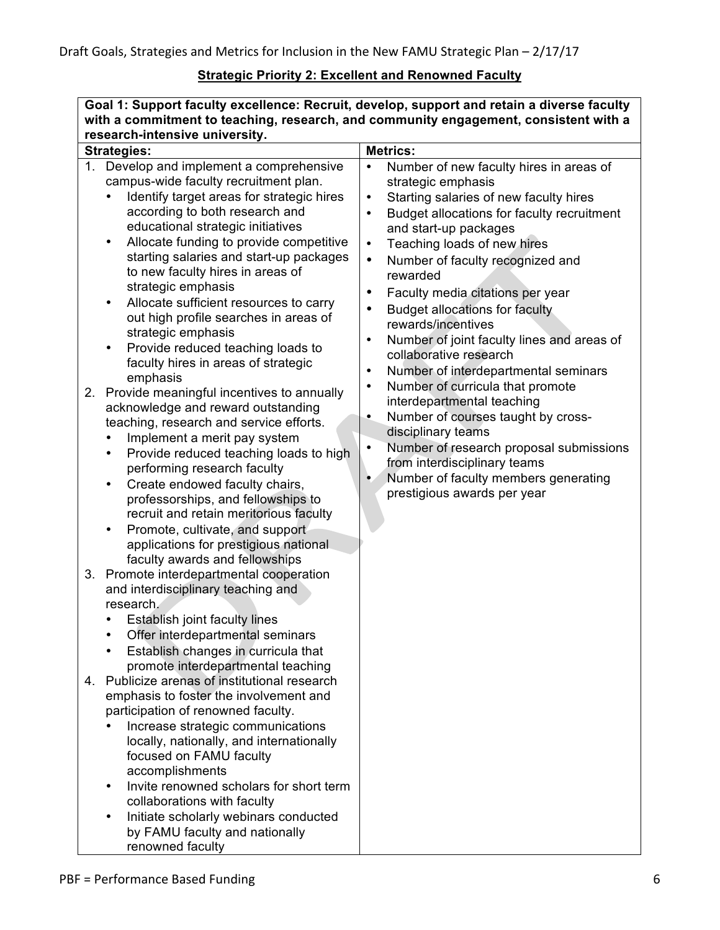## **Strategic Priority 2: Excellent and Renowned Faculty**

| Goal 1: Support faculty excellence: Recruit, develop, support and retain a diverse faculty<br>with a commitment to teaching, research, and community engagement, consistent with a                                                                                                                                                                                                                                                                                                                                                                                                                                                                                                                                                                                                                                                                                                                                                                                                                                                                                                                                                                                                                                                                                          |                                                                                                                                                                                                                                                                                                                                                                                                                                                                                                                                                                                                                                                                                                                                                                                                                                                                                                                                           |  |
|-----------------------------------------------------------------------------------------------------------------------------------------------------------------------------------------------------------------------------------------------------------------------------------------------------------------------------------------------------------------------------------------------------------------------------------------------------------------------------------------------------------------------------------------------------------------------------------------------------------------------------------------------------------------------------------------------------------------------------------------------------------------------------------------------------------------------------------------------------------------------------------------------------------------------------------------------------------------------------------------------------------------------------------------------------------------------------------------------------------------------------------------------------------------------------------------------------------------------------------------------------------------------------|-------------------------------------------------------------------------------------------------------------------------------------------------------------------------------------------------------------------------------------------------------------------------------------------------------------------------------------------------------------------------------------------------------------------------------------------------------------------------------------------------------------------------------------------------------------------------------------------------------------------------------------------------------------------------------------------------------------------------------------------------------------------------------------------------------------------------------------------------------------------------------------------------------------------------------------------|--|
| research-intensive university.<br><b>Strategies:</b>                                                                                                                                                                                                                                                                                                                                                                                                                                                                                                                                                                                                                                                                                                                                                                                                                                                                                                                                                                                                                                                                                                                                                                                                                        | <b>Metrics:</b>                                                                                                                                                                                                                                                                                                                                                                                                                                                                                                                                                                                                                                                                                                                                                                                                                                                                                                                           |  |
| Develop and implement a comprehensive<br>1.<br>campus-wide faculty recruitment plan.<br>Identify target areas for strategic hires<br>$\bullet$<br>according to both research and<br>educational strategic initiatives<br>Allocate funding to provide competitive<br>٠<br>starting salaries and start-up packages<br>to new faculty hires in areas of<br>strategic emphasis<br>Allocate sufficient resources to carry<br>٠<br>out high profile searches in areas of<br>strategic emphasis<br>Provide reduced teaching loads to<br>faculty hires in areas of strategic<br>emphasis<br>Provide meaningful incentives to annually<br>2.<br>acknowledge and reward outstanding<br>teaching, research and service efforts.<br>Implement a merit pay system<br>Provide reduced teaching loads to high<br>$\bullet$<br>performing research faculty<br>Create endowed faculty chairs,<br>$\bullet$<br>professorships, and fellowships to<br>recruit and retain meritorious faculty<br>Promote, cultivate, and support<br>$\bullet$<br>applications for prestigious national<br>faculty awards and fellowships<br>Promote interdepartmental cooperation<br>3.<br>and interdisciplinary teaching and<br>research.<br>Establish joint faculty lines<br>Offer interdepartmental seminars | Number of new faculty hires in areas of<br>$\bullet$<br>strategic emphasis<br>Starting salaries of new faculty hires<br>$\bullet$<br>Budget allocations for faculty recruitment<br>$\bullet$<br>and start-up packages<br>Teaching loads of new hires<br>$\bullet$<br>Number of faculty recognized and<br>$\bullet$<br>rewarded<br>Faculty media citations per year<br>$\bullet$<br><b>Budget allocations for faculty</b><br>$\bullet$<br>rewards/incentives<br>Number of joint faculty lines and areas of<br>$\bullet$<br>collaborative research<br>Number of interdepartmental seminars<br>$\bullet$<br>Number of curricula that promote<br>$\bullet$<br>interdepartmental teaching<br>Number of courses taught by cross-<br>$\bullet$<br>disciplinary teams<br>Number of research proposal submissions<br>$\bullet$<br>from interdisciplinary teams<br>Number of faculty members generating<br>$\bullet$<br>prestigious awards per year |  |
| Establish changes in curricula that<br>promote interdepartmental teaching<br>Publicize arenas of institutional research<br>4.<br>emphasis to foster the involvement and<br>participation of renowned faculty.<br>Increase strategic communications<br>locally, nationally, and internationally<br>focused on FAMU faculty<br>accomplishments<br>Invite renowned scholars for short term<br>collaborations with faculty<br>Initiate scholarly webinars conducted<br>by FAMU faculty and nationally<br>renowned faculty                                                                                                                                                                                                                                                                                                                                                                                                                                                                                                                                                                                                                                                                                                                                                       |                                                                                                                                                                                                                                                                                                                                                                                                                                                                                                                                                                                                                                                                                                                                                                                                                                                                                                                                           |  |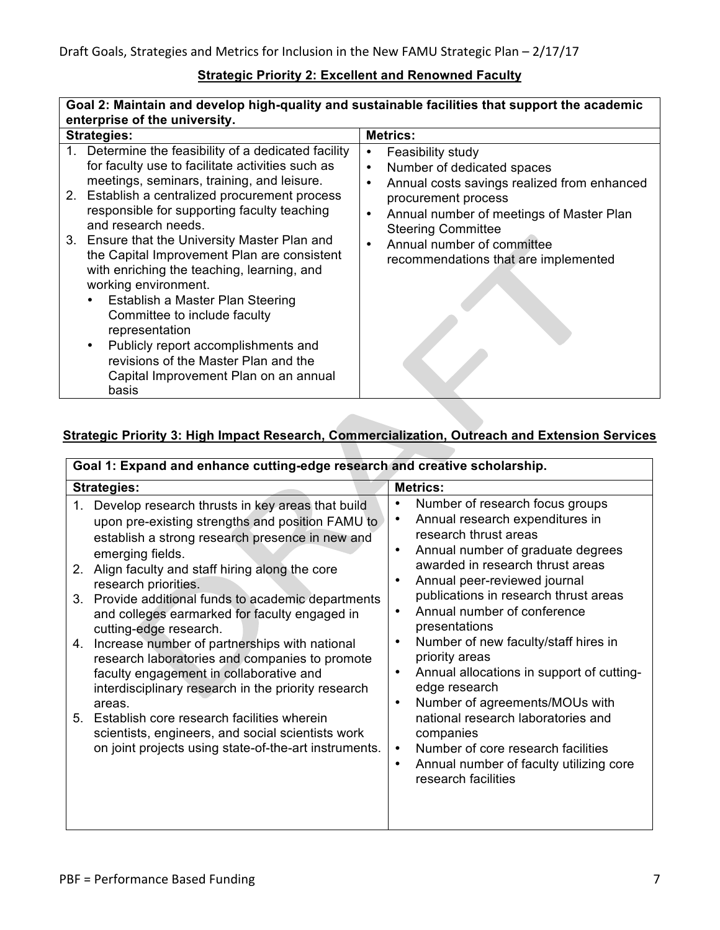#### **Strategic Priority 2: Excellent and Renowned Faculty**

#### **Goal 2: Maintain and develop high-quality and sustainable facilities that support the academic enterprise of the university.**

| <b>Strategies:</b> |                                                                                                                                                                                                                                                                                              | <b>Metrics:</b>                                                                                                                  |  |
|--------------------|----------------------------------------------------------------------------------------------------------------------------------------------------------------------------------------------------------------------------------------------------------------------------------------------|----------------------------------------------------------------------------------------------------------------------------------|--|
|                    | 1. Determine the feasibility of a dedicated facility<br>for faculty use to facilitate activities such as                                                                                                                                                                                     | Feasibility study<br>٠<br>Number of dedicated spaces<br>$\bullet$                                                                |  |
|                    | meetings, seminars, training, and leisure.<br>2. Establish a centralized procurement process<br>responsible for supporting faculty teaching                                                                                                                                                  | Annual costs savings realized from enhanced<br>$\bullet$<br>procurement process<br>Annual number of meetings of Master Plan<br>٠ |  |
|                    | and research needs.<br>3. Ensure that the University Master Plan and<br>the Capital Improvement Plan are consistent<br>with enriching the teaching, learning, and<br>working environment.<br>Establish a Master Plan Steering<br>$\bullet$<br>Committee to include faculty<br>representation | <b>Steering Committee</b><br>Annual number of committee<br>$\bullet$<br>recommendations that are implemented                     |  |
|                    | Publicly report accomplishments and<br>$\bullet$<br>revisions of the Master Plan and the<br>Capital Improvement Plan on an annual<br>basis                                                                                                                                                   |                                                                                                                                  |  |

### **Strategic Priority 3: High Impact Research, Commercialization, Outreach and Extension Services**

| Goal 1: Expand and enhance cutting-edge research and creative scholarship. |                                                                                                                                                                                                                                                                                                                                                                                                                                                                                                                                      |                                                                                                                                                                                                                                                                                                                                                                                                                                                                                 |  |
|----------------------------------------------------------------------------|--------------------------------------------------------------------------------------------------------------------------------------------------------------------------------------------------------------------------------------------------------------------------------------------------------------------------------------------------------------------------------------------------------------------------------------------------------------------------------------------------------------------------------------|---------------------------------------------------------------------------------------------------------------------------------------------------------------------------------------------------------------------------------------------------------------------------------------------------------------------------------------------------------------------------------------------------------------------------------------------------------------------------------|--|
|                                                                            | <b>Metrics:</b><br><b>Strategies:</b>                                                                                                                                                                                                                                                                                                                                                                                                                                                                                                |                                                                                                                                                                                                                                                                                                                                                                                                                                                                                 |  |
| 1.<br>2.<br>4.                                                             | Develop research thrusts in key areas that build<br>upon pre-existing strengths and position FAMU to<br>establish a strong research presence in new and<br>emerging fields.<br>Align faculty and staff hiring along the core<br>research priorities.<br>3. Provide additional funds to academic departments<br>and colleges earmarked for faculty engaged in<br>cutting-edge research.<br>Increase number of partnerships with national<br>research laboratories and companies to promote<br>faculty engagement in collaborative and | Number of research focus groups<br>٠<br>Annual research expenditures in<br>٠<br>research thrust areas<br>Annual number of graduate degrees<br>$\bullet$<br>awarded in research thrust areas<br>Annual peer-reviewed journal<br>$\bullet$<br>publications in research thrust areas<br>Annual number of conference<br>$\bullet$<br>presentations<br>Number of new faculty/staff hires in<br>$\bullet$<br>priority areas<br>Annual allocations in support of cutting-<br>$\bullet$ |  |
|                                                                            | interdisciplinary research in the priority research<br>areas.<br>5. Establish core research facilities wherein<br>scientists, engineers, and social scientists work<br>on joint projects using state-of-the-art instruments.                                                                                                                                                                                                                                                                                                         | edge research<br>Number of agreements/MOUs with<br>$\bullet$<br>national research laboratories and<br>companies<br>Number of core research facilities<br>$\bullet$<br>Annual number of faculty utilizing core<br>٠<br>research facilities                                                                                                                                                                                                                                       |  |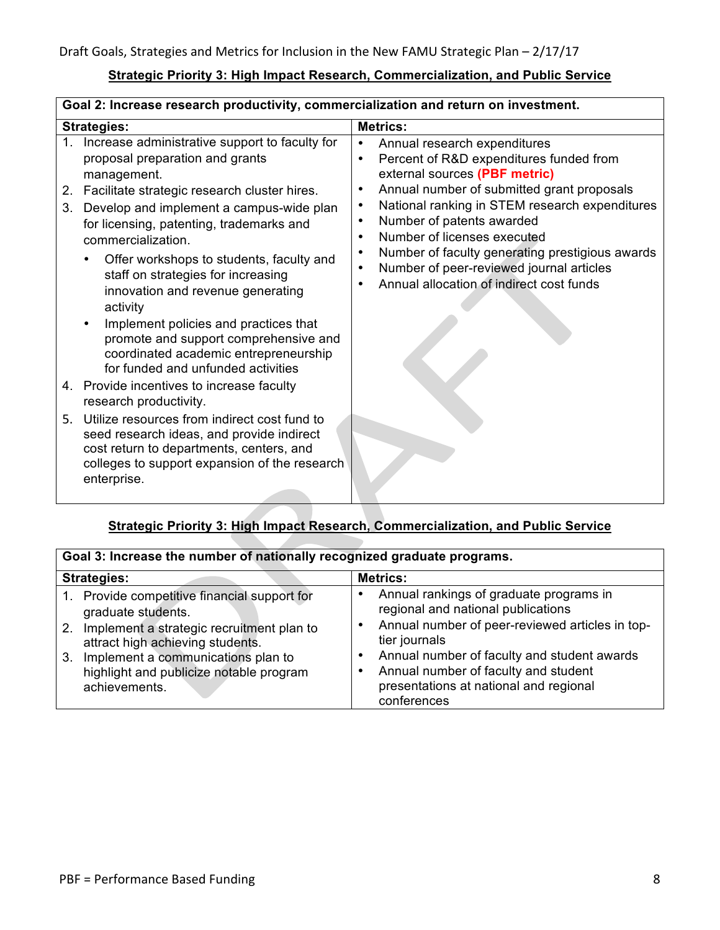### **Strategic Priority 3: High Impact Research, Commercialization, and Public Service**

| Goal 2: Increase research productivity, commercialization and return on investment. |                                                                                                                                                                                                       |                                                                                                                                                                                                                                                         |
|-------------------------------------------------------------------------------------|-------------------------------------------------------------------------------------------------------------------------------------------------------------------------------------------------------|---------------------------------------------------------------------------------------------------------------------------------------------------------------------------------------------------------------------------------------------------------|
| <b>Strategies:</b>                                                                  |                                                                                                                                                                                                       | <b>Metrics:</b>                                                                                                                                                                                                                                         |
| 1.                                                                                  | Increase administrative support to faculty for<br>proposal preparation and grants<br>management.                                                                                                      | Annual research expenditures<br>$\bullet$<br>Percent of R&D expenditures funded from<br>$\bullet$<br>external sources (PBF metric)<br>$\bullet$                                                                                                         |
| 2.<br>3.                                                                            | Facilitate strategic research cluster hires.<br>Develop and implement a campus-wide plan<br>for licensing, patenting, trademarks and<br>commercialization.                                            | Annual number of submitted grant proposals<br>National ranking in STEM research expenditures<br>$\bullet$<br>Number of patents awarded<br>$\bullet$<br>Number of licenses executed<br>$\bullet$<br>Number of faculty generating prestigious awards<br>٠ |
|                                                                                     | Offer workshops to students, faculty and<br>staff on strategies for increasing<br>innovation and revenue generating<br>activity<br>Implement policies and practices that                              | Number of peer-reviewed journal articles<br>$\bullet$<br>Annual allocation of indirect cost funds                                                                                                                                                       |
|                                                                                     | promote and support comprehensive and<br>coordinated academic entrepreneurship<br>for funded and unfunded activities                                                                                  |                                                                                                                                                                                                                                                         |
|                                                                                     | 4. Provide incentives to increase faculty<br>research productivity.                                                                                                                                   |                                                                                                                                                                                                                                                         |
| 5.                                                                                  | Utilize resources from indirect cost fund to<br>seed research ideas, and provide indirect<br>cost return to departments, centers, and<br>colleges to support expansion of the research<br>enterprise. |                                                                                                                                                                                                                                                         |

# **Strategic Priority 3: High Impact Research, Commercialization, and Public Service**

| Goal 3: Increase the number of nationally recognized graduate programs.                                                                                                                                                                                     |                                                                                                                                                                                                                                                                                                                     |  |
|-------------------------------------------------------------------------------------------------------------------------------------------------------------------------------------------------------------------------------------------------------------|---------------------------------------------------------------------------------------------------------------------------------------------------------------------------------------------------------------------------------------------------------------------------------------------------------------------|--|
| <b>Strategies:</b>                                                                                                                                                                                                                                          | <b>Metrics:</b>                                                                                                                                                                                                                                                                                                     |  |
| 1. Provide competitive financial support for<br>graduate students.<br>2. Implement a strategic recruitment plan to<br>attract high achieving students.<br>3. Implement a communications plan to<br>highlight and publicize notable program<br>achievements. | Annual rankings of graduate programs in<br>regional and national publications<br>Annual number of peer-reviewed articles in top-<br>$\bullet$<br>tier journals<br>Annual number of faculty and student awards<br>٠<br>Annual number of faculty and student<br>presentations at national and regional<br>conferences |  |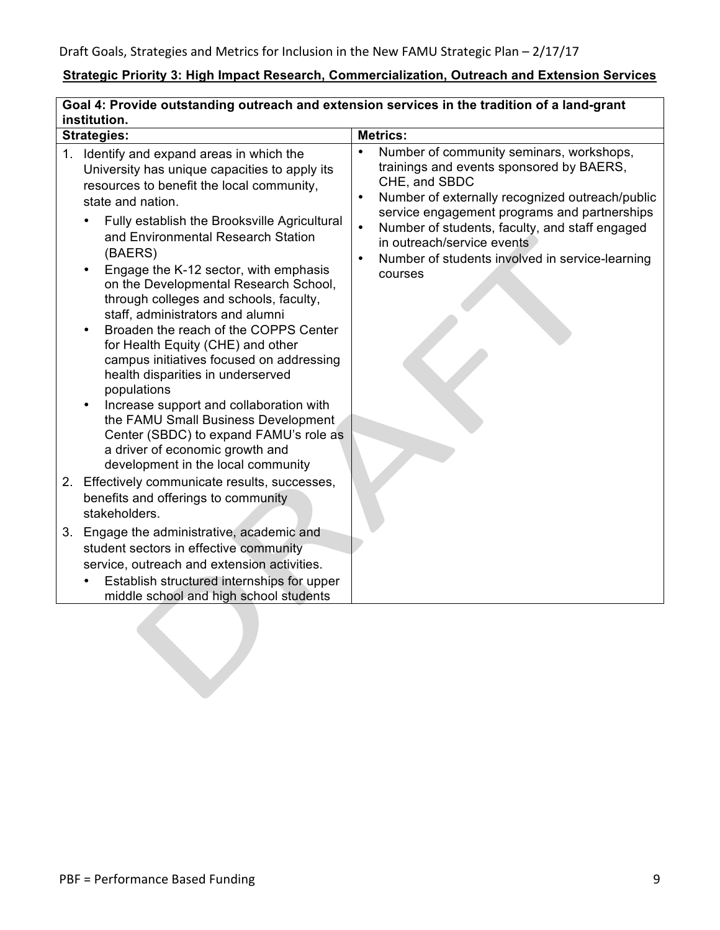# **Strategic Priority 3: High Impact Research, Commercialization, Outreach and Extension Services**

| Goal 4: Provide outstanding outreach and extension services in the tradition of a land-grant<br>institution. |                                                                                                                                                                                                                                                                                                                                                                                                                                                                                                                                                                                                                                                                                                                                                                                                                                                                                                                                                                                                                                                                                                                                                           |                                                                                                                                                                                                                                                                                                                                                                                                            |
|--------------------------------------------------------------------------------------------------------------|-----------------------------------------------------------------------------------------------------------------------------------------------------------------------------------------------------------------------------------------------------------------------------------------------------------------------------------------------------------------------------------------------------------------------------------------------------------------------------------------------------------------------------------------------------------------------------------------------------------------------------------------------------------------------------------------------------------------------------------------------------------------------------------------------------------------------------------------------------------------------------------------------------------------------------------------------------------------------------------------------------------------------------------------------------------------------------------------------------------------------------------------------------------|------------------------------------------------------------------------------------------------------------------------------------------------------------------------------------------------------------------------------------------------------------------------------------------------------------------------------------------------------------------------------------------------------------|
|                                                                                                              | <b>Strategies:</b>                                                                                                                                                                                                                                                                                                                                                                                                                                                                                                                                                                                                                                                                                                                                                                                                                                                                                                                                                                                                                                                                                                                                        | <b>Metrics:</b>                                                                                                                                                                                                                                                                                                                                                                                            |
|                                                                                                              | 1. Identify and expand areas in which the<br>University has unique capacities to apply its<br>resources to benefit the local community,<br>state and nation.<br>Fully establish the Brooksville Agricultural<br>and Environmental Research Station<br>(BAERS)<br>Engage the K-12 sector, with emphasis<br>on the Developmental Research School,<br>through colleges and schools, faculty,<br>staff, administrators and alumni<br>Broaden the reach of the COPPS Center<br>for Health Equity (CHE) and other<br>campus initiatives focused on addressing<br>health disparities in underserved<br>populations<br>Increase support and collaboration with<br>the FAMU Small Business Development<br>Center (SBDC) to expand FAMU's role as<br>a driver of economic growth and<br>development in the local community<br>2. Effectively communicate results, successes,<br>benefits and offerings to community<br>stakeholders.<br>3. Engage the administrative, academic and<br>student sectors in effective community<br>service, outreach and extension activities.<br>Establish structured internships for upper<br>middle school and high school students | Number of community seminars, workshops,<br>$\bullet$<br>trainings and events sponsored by BAERS,<br>CHE, and SBDC<br>Number of externally recognized outreach/public<br>$\bullet$<br>service engagement programs and partnerships<br>$\bullet$<br>Number of students, faculty, and staff engaged<br>in outreach/service events<br>Number of students involved in service-learning<br>$\bullet$<br>courses |
|                                                                                                              |                                                                                                                                                                                                                                                                                                                                                                                                                                                                                                                                                                                                                                                                                                                                                                                                                                                                                                                                                                                                                                                                                                                                                           |                                                                                                                                                                                                                                                                                                                                                                                                            |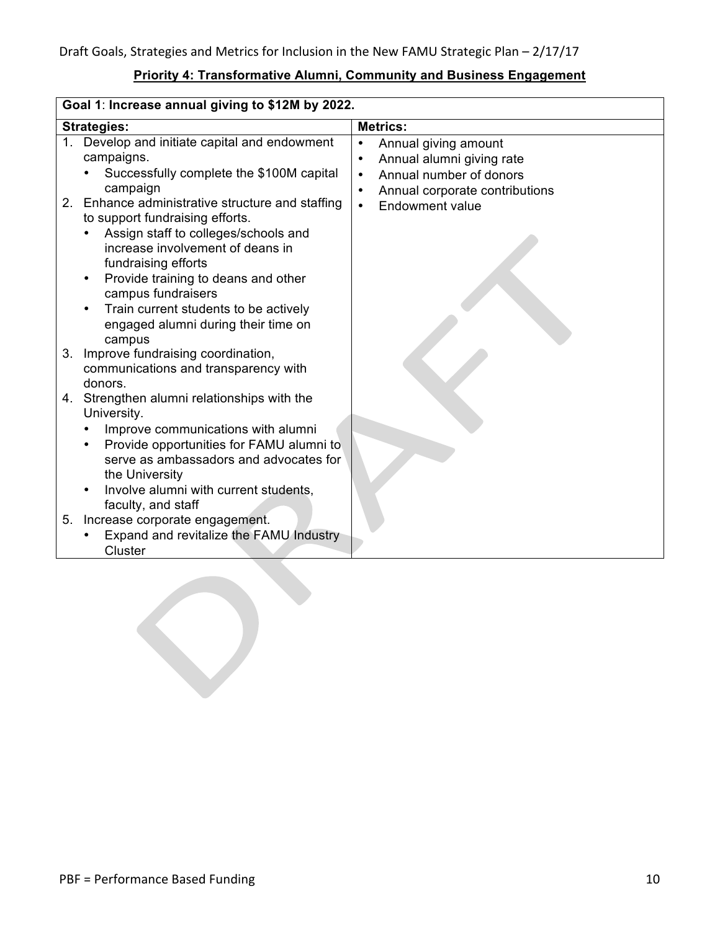### **Priority 4: Transformative Alumni, Community and Business Engagement**

| Goal 1: Increase annual giving to \$12M by 2022. |                                                                                                      |                                                                                                                     |
|--------------------------------------------------|------------------------------------------------------------------------------------------------------|---------------------------------------------------------------------------------------------------------------------|
| <b>Strategies:</b>                               |                                                                                                      | <b>Metrics:</b>                                                                                                     |
| $1_{-}$                                          | Develop and initiate capital and endowment<br>campaigns.<br>Successfully complete the \$100M capital | Annual giving amount<br>$\bullet$<br>Annual alumni giving rate<br>$\bullet$<br>Annual number of donors<br>$\bullet$ |
|                                                  | campaign                                                                                             | Annual corporate contributions<br>$\bullet$                                                                         |
|                                                  | 2. Enhance administrative structure and staffing<br>to support fundraising efforts.                  | <b>Endowment value</b><br>$\bullet$                                                                                 |
|                                                  | Assign staff to colleges/schools and<br>increase involvement of deans in<br>fundraising efforts      |                                                                                                                     |
|                                                  | Provide training to deans and other<br>$\bullet$<br>campus fundraisers                               |                                                                                                                     |
|                                                  | Train current students to be actively<br>engaged alumni during their time on<br>campus               |                                                                                                                     |
| 3.                                               | Improve fundraising coordination,<br>communications and transparency with<br>donors.                 |                                                                                                                     |
|                                                  | 4. Strengthen alumni relationships with the<br>University.                                           |                                                                                                                     |
|                                                  | Improve communications with alumni                                                                   |                                                                                                                     |
|                                                  | Provide opportunities for FAMU alumni to                                                             |                                                                                                                     |
|                                                  | serve as ambassadors and advocates for                                                               |                                                                                                                     |
|                                                  | the University<br>Involve alumni with current students,                                              |                                                                                                                     |
|                                                  | faculty, and staff                                                                                   |                                                                                                                     |
| 5.                                               | Increase corporate engagement.                                                                       |                                                                                                                     |
|                                                  | Expand and revitalize the FAMU Industry<br>Cluster                                                   |                                                                                                                     |

 $\bigcirc$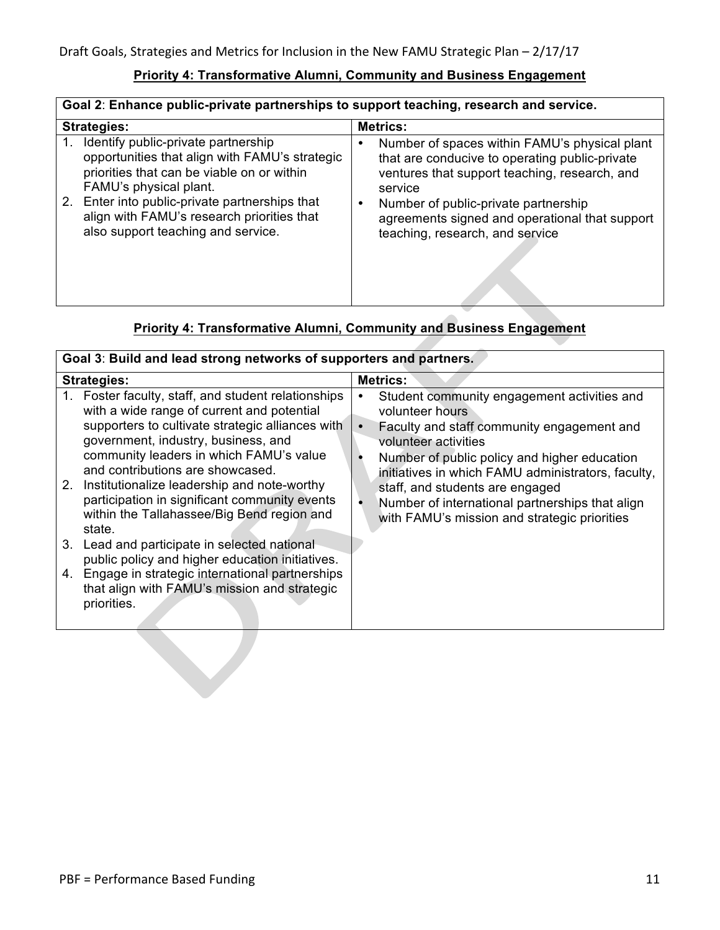#### **Priority 4: Transformative Alumni, Community and Business Engagement**

| Goal 2: Enhance public-private partnerships to support teaching, research and service.                                                                                                                                                                                                                    |                                                                                                                                                                                                                                                                                                            |  |
|-----------------------------------------------------------------------------------------------------------------------------------------------------------------------------------------------------------------------------------------------------------------------------------------------------------|------------------------------------------------------------------------------------------------------------------------------------------------------------------------------------------------------------------------------------------------------------------------------------------------------------|--|
| <b>Strategies:</b>                                                                                                                                                                                                                                                                                        | <b>Metrics:</b>                                                                                                                                                                                                                                                                                            |  |
| Identify public-private partnership<br>1.<br>opportunities that align with FAMU's strategic<br>priorities that can be viable on or within<br>FAMU's physical plant.<br>2. Enter into public-private partnerships that<br>align with FAMU's research priorities that<br>also support teaching and service. | Number of spaces within FAMU's physical plant<br>٠<br>that are conducive to operating public-private<br>ventures that support teaching, research, and<br>service<br>Number of public-private partnership<br>$\bullet$<br>agreements signed and operational that support<br>teaching, research, and service |  |
|                                                                                                                                                                                                                                                                                                           |                                                                                                                                                                                                                                                                                                            |  |

## **Priority 4: Transformative Alumni, Community and Business Engagement**

| Goal 3: Build and lead strong networks of supporters and partners.                                                                                                                                                                                                                                                                                                                                                                                                                                                                                                                                                                                            |                                                                                                                                                                                                                                                                                                                                                                                                         |  |
|---------------------------------------------------------------------------------------------------------------------------------------------------------------------------------------------------------------------------------------------------------------------------------------------------------------------------------------------------------------------------------------------------------------------------------------------------------------------------------------------------------------------------------------------------------------------------------------------------------------------------------------------------------------|---------------------------------------------------------------------------------------------------------------------------------------------------------------------------------------------------------------------------------------------------------------------------------------------------------------------------------------------------------------------------------------------------------|--|
| <b>Strategies:</b>                                                                                                                                                                                                                                                                                                                                                                                                                                                                                                                                                                                                                                            | <b>Metrics:</b>                                                                                                                                                                                                                                                                                                                                                                                         |  |
| 1. Foster faculty, staff, and student relationships<br>with a wide range of current and potential<br>supporters to cultivate strategic alliances with<br>government, industry, business, and<br>community leaders in which FAMU's value<br>and contributions are showcased.<br>2. Institutionalize leadership and note-worthy<br>participation in significant community events<br>within the Tallahassee/Big Bend region and<br>state.<br>3. Lead and participate in selected national<br>public policy and higher education initiatives.<br>4. Engage in strategic international partnerships<br>that align with FAMU's mission and strategic<br>priorities. | Student community engagement activities and<br>٠<br>volunteer hours<br>Faculty and staff community engagement and<br>$\bullet$<br>volunteer activities<br>Number of public policy and higher education<br>initiatives in which FAMU administrators, faculty,<br>staff, and students are engaged<br>Number of international partnerships that align<br>٠<br>with FAMU's mission and strategic priorities |  |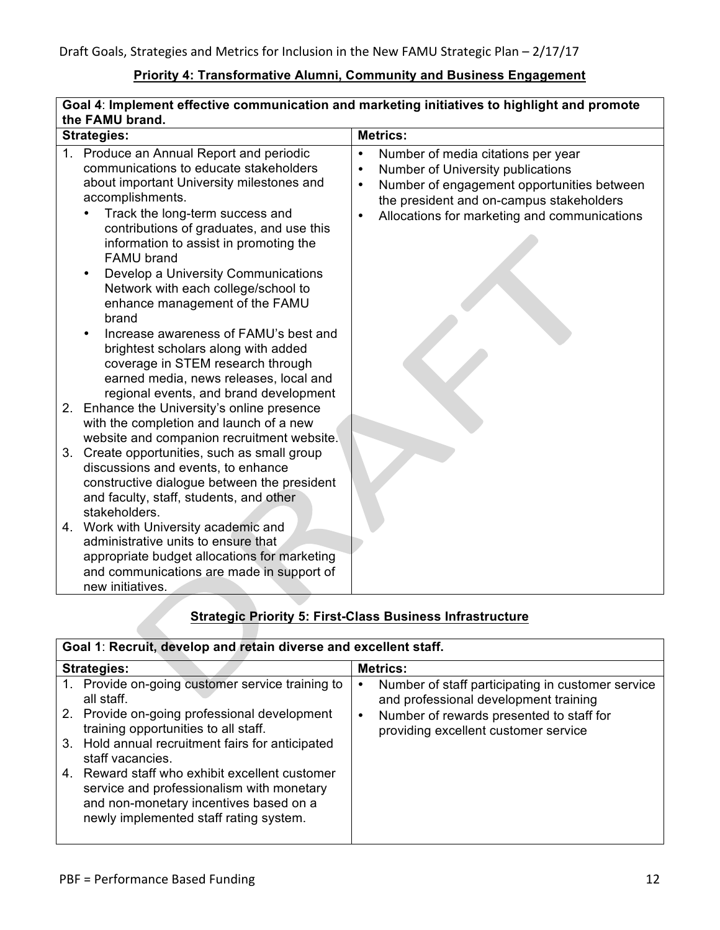### **Priority 4: Transformative Alumni, Community and Business Engagement**

| Goal 4: Implement effective communication and marketing initiatives to highlight and promote |                                                                                                                                                                                                                                                                                                                                                                                                                            |                                                                                                                                                                                                                                                                       |
|----------------------------------------------------------------------------------------------|----------------------------------------------------------------------------------------------------------------------------------------------------------------------------------------------------------------------------------------------------------------------------------------------------------------------------------------------------------------------------------------------------------------------------|-----------------------------------------------------------------------------------------------------------------------------------------------------------------------------------------------------------------------------------------------------------------------|
| the FAMU brand.                                                                              |                                                                                                                                                                                                                                                                                                                                                                                                                            |                                                                                                                                                                                                                                                                       |
| <b>Strategies:</b>                                                                           |                                                                                                                                                                                                                                                                                                                                                                                                                            | <b>Metrics:</b>                                                                                                                                                                                                                                                       |
|                                                                                              | 1. Produce an Annual Report and periodic<br>communications to educate stakeholders<br>about important University milestones and<br>accomplishments.<br>Track the long-term success and<br>contributions of graduates, and use this<br>information to assist in promoting the<br><b>FAMU</b> brand<br>Develop a University Communications<br>Network with each college/school to<br>enhance management of the FAMU<br>brand | Number of media citations per year<br>$\bullet$<br>Number of University publications<br>$\bullet$<br>Number of engagement opportunities between<br>$\bullet$<br>the president and on-campus stakeholders<br>Allocations for marketing and communications<br>$\bullet$ |
|                                                                                              | Increase awareness of FAMU's best and<br>brightest scholars along with added<br>coverage in STEM research through<br>earned media, news releases, local and<br>regional events, and brand development<br>2. Enhance the University's online presence                                                                                                                                                                       |                                                                                                                                                                                                                                                                       |
|                                                                                              | with the completion and launch of a new<br>website and companion recruitment website.                                                                                                                                                                                                                                                                                                                                      |                                                                                                                                                                                                                                                                       |
|                                                                                              | 3. Create opportunities, such as small group<br>discussions and events, to enhance<br>constructive dialogue between the president<br>and faculty, staff, students, and other<br>stakeholders.                                                                                                                                                                                                                              |                                                                                                                                                                                                                                                                       |
|                                                                                              | 4. Work with University academic and<br>administrative units to ensure that<br>appropriate budget allocations for marketing<br>and communications are made in support of<br>new initiatives.                                                                                                                                                                                                                               |                                                                                                                                                                                                                                                                       |

## **Strategic Priority 5: First-Class Business Infrastructure**

### **Goal 1**: **Recruit, develop and retain diverse and excellent staff.**

| <b>Strategies:</b> |                                                                                                                                                                                 | <b>Metrics:</b> |                                                                                                                                        |
|--------------------|---------------------------------------------------------------------------------------------------------------------------------------------------------------------------------|-----------------|----------------------------------------------------------------------------------------------------------------------------------------|
|                    | 1. Provide on-going customer service training to<br>all staff.<br>2. Provide on-going professional development                                                                  | ٠               | Number of staff participating in customer service<br>and professional development training<br>Number of rewards presented to staff for |
|                    | training opportunities to all staff.                                                                                                                                            |                 | providing excellent customer service                                                                                                   |
|                    | 3. Hold annual recruitment fairs for anticipated<br>staff vacancies.                                                                                                            |                 |                                                                                                                                        |
|                    | 4. Reward staff who exhibit excellent customer<br>service and professionalism with monetary<br>and non-monetary incentives based on a<br>newly implemented staff rating system. |                 |                                                                                                                                        |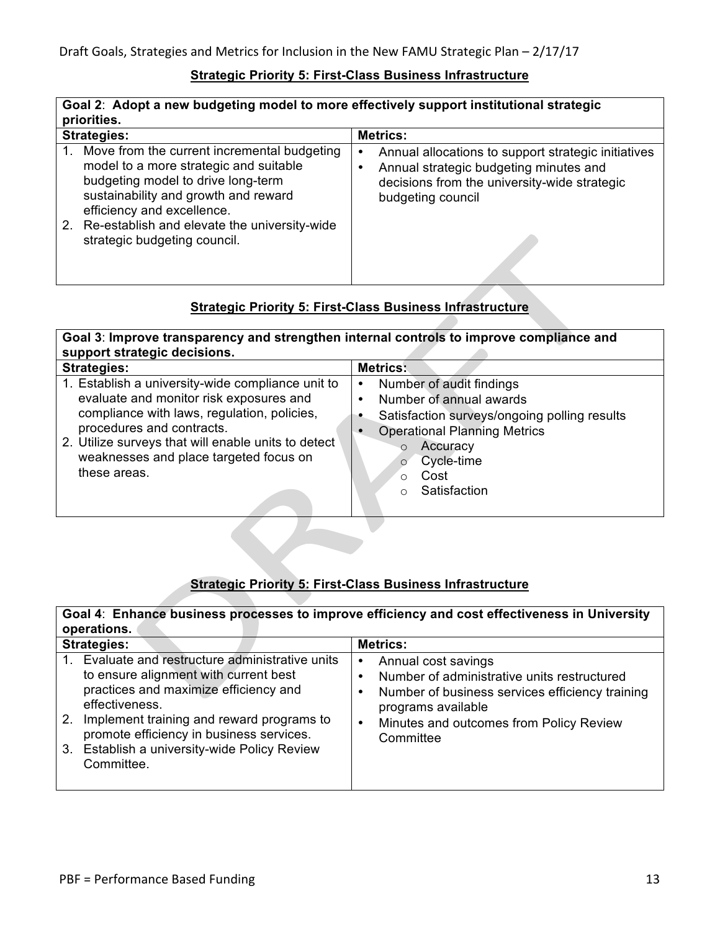#### **Strategic Priority 5: First-Class Business Infrastructure**

| Goal 2: Adopt a new budgeting model to more effectively support institutional strategic<br>priorities.                                                                                                                                                                                  |                                                                                                                                                                         |  |
|-----------------------------------------------------------------------------------------------------------------------------------------------------------------------------------------------------------------------------------------------------------------------------------------|-------------------------------------------------------------------------------------------------------------------------------------------------------------------------|--|
| <b>Strategies:</b>                                                                                                                                                                                                                                                                      | <b>Metrics:</b>                                                                                                                                                         |  |
| 1. Move from the current incremental budgeting<br>model to a more strategic and suitable<br>budgeting model to drive long-term<br>sustainability and growth and reward<br>efficiency and excellence.<br>2. Re-establish and elevate the university-wide<br>strategic budgeting council. | Annual allocations to support strategic initiatives<br>٠<br>Annual strategic budgeting minutes and<br>decisions from the university-wide strategic<br>budgeting council |  |
|                                                                                                                                                                                                                                                                                         |                                                                                                                                                                         |  |

### **Strategic Priority 5: First-Class Business Infrastructure**

**Goal 3**: **Improve transparency and strengthen internal controls to improve compliance and support strategic decisions.** 

| <b>Strategies:</b>                                                                                                                                                                                                                                                                        | <b>Metrics:</b>                                                                                                                                                                                                                        |
|-------------------------------------------------------------------------------------------------------------------------------------------------------------------------------------------------------------------------------------------------------------------------------------------|----------------------------------------------------------------------------------------------------------------------------------------------------------------------------------------------------------------------------------------|
| 1. Establish a university-wide compliance unit to<br>evaluate and monitor risk exposures and<br>compliance with laws, regulation, policies,<br>procedures and contracts.<br>2. Utilize surveys that will enable units to detect<br>weaknesses and place targeted focus on<br>these areas. | Number of audit findings<br>$\bullet$<br>Number of annual awards<br>$\bullet$<br>Satisfaction surveys/ongoing polling results<br><b>Operational Planning Metrics</b><br>Accuracy<br>O<br>Cycle-time<br>$\circ$<br>Cost<br>Satisfaction |

### **Strategic Priority 5: First-Class Business Infrastructure**

**Goal 4**: **Enhance business processes to improve efficiency and cost effectiveness in University operations.**

| <b>Strategies:</b>                                                                                                                                                                                                                                                                                                        | <b>Metrics:</b>                                                                                                                                                                                                            |  |
|---------------------------------------------------------------------------------------------------------------------------------------------------------------------------------------------------------------------------------------------------------------------------------------------------------------------------|----------------------------------------------------------------------------------------------------------------------------------------------------------------------------------------------------------------------------|--|
| Evaluate and restructure administrative units<br>$1_{-}$<br>to ensure alignment with current best<br>practices and maximize efficiency and<br>effectiveness.<br>Implement training and reward programs to<br>2.<br>promote efficiency in business services.<br>3. Establish a university-wide Policy Review<br>Committee. | Annual cost savings<br>٠<br>Number of administrative units restructured<br>Number of business services efficiency training<br>٠<br>programs available<br>Minutes and outcomes from Policy Review<br>$\bullet$<br>Committee |  |
|                                                                                                                                                                                                                                                                                                                           |                                                                                                                                                                                                                            |  |